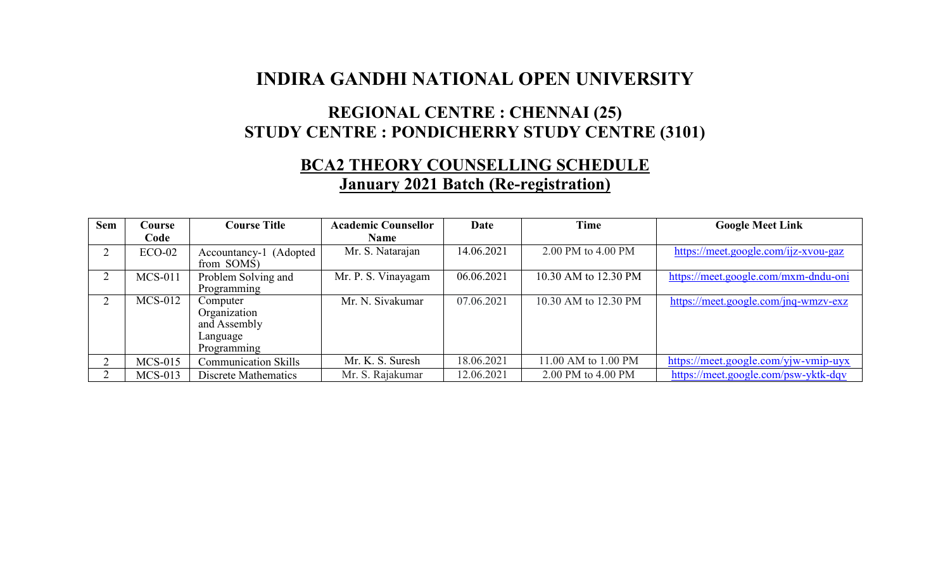## **INDIRA GANDHI NATIONAL OPEN UNIVERSITY**

### **REGIONAL CENTRE : CHENNAI (25) STUDY CENTRE : PONDICHERRY STUDY CENTRE (3101)**

# **BCA2 THEORY COUNSELLING SCHEDULE**

#### **January 2021 Batch (Re-registration)**

| <b>Sem</b> | Course    | <b>Course Title</b>                                                 | <b>Academic Counsellor</b> | Date       | <b>Time</b>          | <b>Google Meet Link</b>              |
|------------|-----------|---------------------------------------------------------------------|----------------------------|------------|----------------------|--------------------------------------|
|            | Code      |                                                                     | <b>Name</b>                |            |                      |                                      |
|            | $ECO-02$  | Accountancy-1 (Adopted<br>from SOMS)                                | Mr. S. Natarajan           | 14.06.2021 | 2.00 PM to 4.00 PM   | https://meet.google.com/ijz-xvou-gaz |
|            | $MCS-011$ | Problem Solving and<br>Programming                                  | Mr. P. S. Vinayagam        | 06.06.2021 | 10.30 AM to 12.30 PM | https://meet.google.com/mxm-dndu-oni |
|            | $MCS-012$ | Computer<br>Organization<br>and Assembly<br>Language<br>Programming | Mr. N. Sivakumar           | 07.06.2021 | 10.30 AM to 12.30 PM | https://meet.google.com/jnq-wmzv-exz |
|            | $MCS-015$ | <b>Communication Skills</b>                                         | Mr. K. S. Suresh           | 18.06.2021 | 11.00 AM to 1.00 PM  | https://meet.google.com/yjw-vmip-uyx |
|            | $MCS-013$ | Discrete Mathematics                                                | Mr. S. Rajakumar           | 12.06.2021 | 2.00 PM to 4.00 PM   | https://meet.google.com/psw-yktk-dqv |